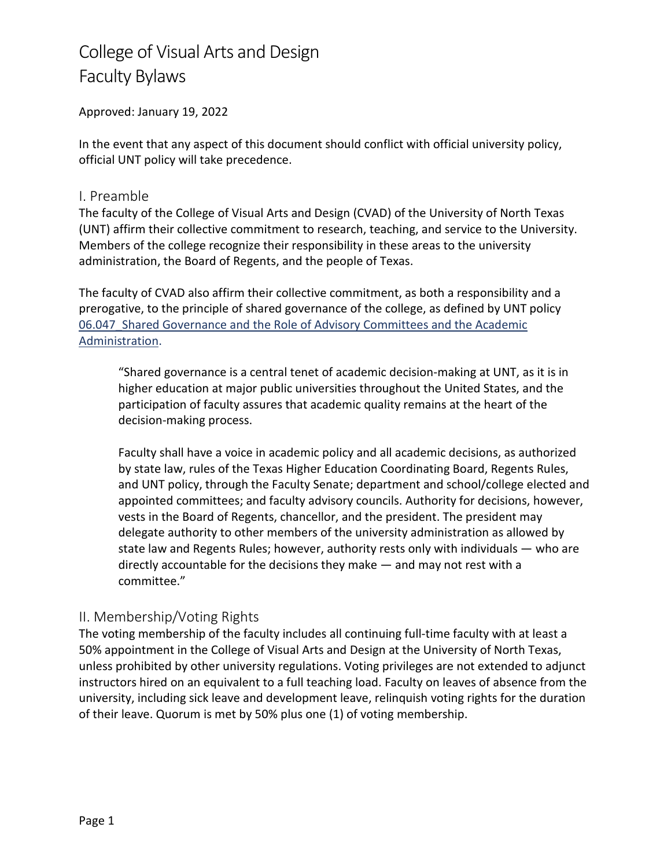Approved: January 19, 2022

In the event that any aspect of this document should conflict with official university policy, official UNT policy will take precedence.

## I. Preamble

The faculty of the College of Visual Arts and Design (CVAD) of the University of North Texas (UNT) affirm their collective commitment to research, teaching, and service to the University. Members of the college recognize their responsibility in these areas to the university administration, the Board of Regents, and the people of Texas.

The faculty of CVAD also affirm their collective commitment, as both a responsibility and a prerogative, to the principle of shared governance of the college, as defined by UNT policy 06.047 Shared Governance and the Role of Advisory Committees and the Academic [Administration.](https://policy.unt.edu/sites/default/files/06.047_Shared.Gov_.05252018.pdf)

"Shared governance is a central tenet of academic decision-making at UNT, as it is in higher education at major public universities throughout the United States, and the participation of faculty assures that academic quality remains at the heart of the decision-making process.

Faculty shall have a voice in academic policy and all academic decisions, as authorized by state law, rules of the Texas Higher Education Coordinating Board, Regents Rules, and UNT policy, through the Faculty Senate; department and school/college elected and appointed committees; and faculty advisory councils. Authority for decisions, however, vests in the Board of Regents, chancellor, and the president. The president may delegate authority to other members of the university administration as allowed by state law and Regents Rules; however, authority rests only with individuals — who are directly accountable for the decisions they make — and may not rest with a committee."

## II. Membership/Voting Rights

The voting membership of the faculty includes all continuing full-time faculty with at least a 50% appointment in the College of Visual Arts and Design at the University of North Texas, unless prohibited by other university regulations. Voting privileges are not extended to adjunct instructors hired on an equivalent to a full teaching load. Faculty on leaves of absence from the university, including sick leave and development leave, relinquish voting rights for the duration of their leave. Quorum is met by 50% plus one (1) of voting membership.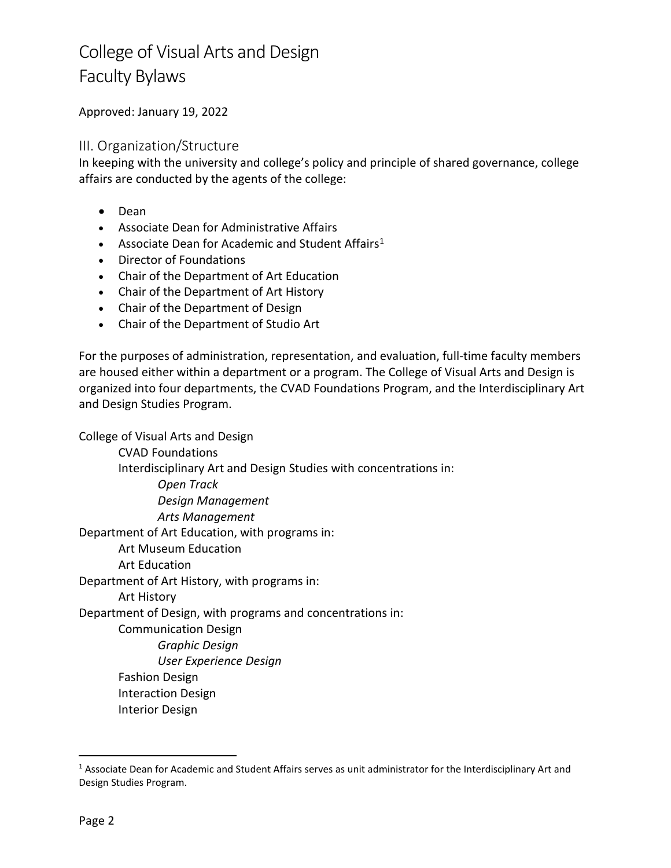Approved: January 19, 2022

### III. Organization/Structure

In keeping with the university and college's policy and principle of shared governance, college affairs are conducted by the agents of the college:

- Dean
- Associate Dean for Administrative Affairs
- Associate Dean for Academic and Student Affairs<sup>[1](#page-1-0)</sup>
- Director of Foundations
- Chair of the Department of Art Education
- Chair of the Department of Art History
- Chair of the Department of Design
- Chair of the Department of Studio Art

For the purposes of administration, representation, and evaluation, full-time faculty members are housed either within a department or a program. The College of Visual Arts and Design is organized into four departments, the CVAD Foundations Program, and the Interdisciplinary Art and Design Studies Program.

College of Visual Arts and Design CVAD Foundations Interdisciplinary Art and Design Studies with concentrations in: *Open Track Design Management Arts Management* Department of Art Education, with programs in: Art Museum Education Art Education Department of Art History, with programs in: Art History Department of Design, with programs and concentrations in: Communication Design *Graphic Design User Experience Design*  Fashion Design Interaction Design Interior Design

<span id="page-1-0"></span><sup>&</sup>lt;sup>1</sup> Associate Dean for Academic and Student Affairs serves as unit administrator for the Interdisciplinary Art and Design Studies Program.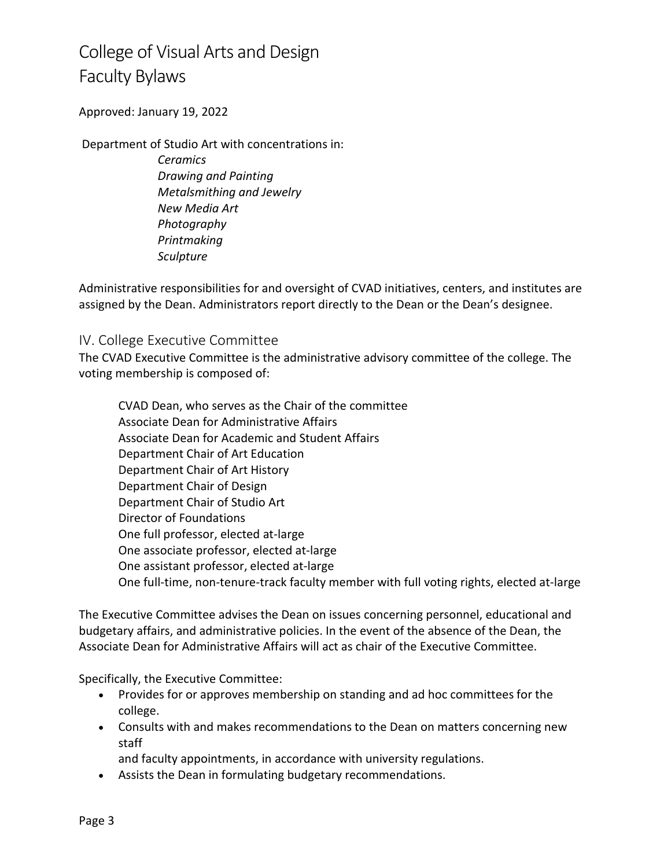Approved: January 19, 2022

Department of Studio Art with concentrations in:

*Ceramics Drawing and Painting Metalsmithing and Jewelry New Media Art Photography Printmaking Sculpture* 

Administrative responsibilities for and oversight of CVAD initiatives, centers, and institutes are assigned by the Dean. Administrators report directly to the Dean or the Dean's designee.

### IV. College Executive Committee

The CVAD Executive Committee is the administrative advisory committee of the college. The voting membership is composed of:

CVAD Dean, who serves as the Chair of the committee Associate Dean for Administrative Affairs Associate Dean for Academic and Student Affairs Department Chair of Art Education Department Chair of Art History Department Chair of Design Department Chair of Studio Art Director of Foundations One full professor, elected at-large One associate professor, elected at-large One assistant professor, elected at-large One full-time, non-tenure-track faculty member with full voting rights, elected at-large

The Executive Committee advises the Dean on issues concerning personnel, educational and budgetary affairs, and administrative policies. In the event of the absence of the Dean, the Associate Dean for Administrative Affairs will act as chair of the Executive Committee.

Specifically, the Executive Committee:

- Provides for or approves membership on standing and ad hoc committees for the college.
- Consults with and makes recommendations to the Dean on matters concerning new staff

and faculty appointments, in accordance with university regulations.

• Assists the Dean in formulating budgetary recommendations.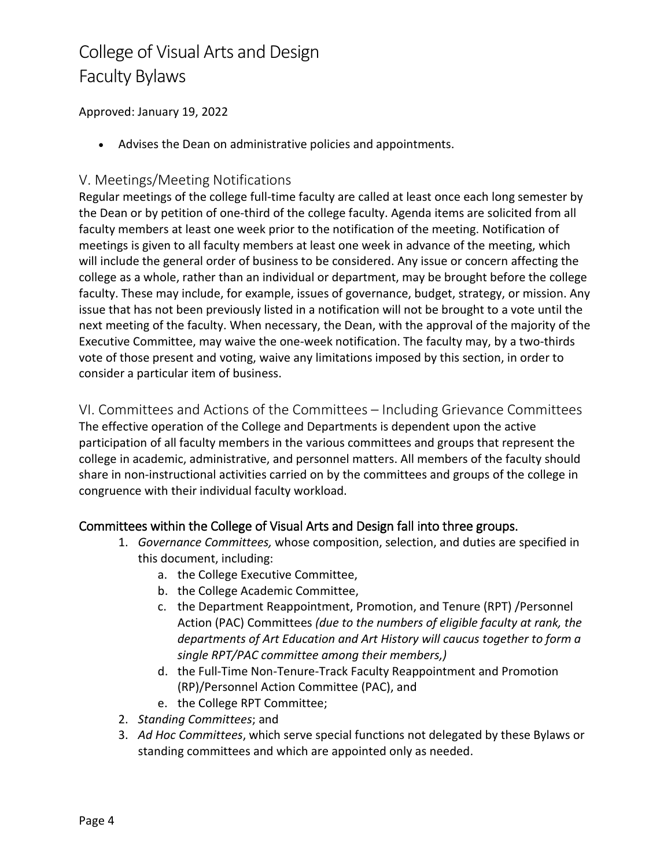Approved: January 19, 2022

• Advises the Dean on administrative policies and appointments.

## V. Meetings/Meeting Notifications

Regular meetings of the college full-time faculty are called at least once each long semester by the Dean or by petition of one-third of the college faculty. Agenda items are solicited from all faculty members at least one week prior to the notification of the meeting. Notification of meetings is given to all faculty members at least one week in advance of the meeting, which will include the general order of business to be considered. Any issue or concern affecting the college as a whole, rather than an individual or department, may be brought before the college faculty. These may include, for example, issues of governance, budget, strategy, or mission. Any issue that has not been previously listed in a notification will not be brought to a vote until the next meeting of the faculty. When necessary, the Dean, with the approval of the majority of the Executive Committee, may waive the one-week notification. The faculty may, by a two-thirds vote of those present and voting, waive any limitations imposed by this section, in order to consider a particular item of business.

VI. Committees and Actions of the Committees – Including Grievance Committees The effective operation of the College and Departments is dependent upon the active participation of all faculty members in the various committees and groups that represent the college in academic, administrative, and personnel matters. All members of the faculty should share in non-instructional activities carried on by the committees and groups of the college in congruence with their individual faculty workload.

## Committees within the College of Visual Arts and Design fall into three groups.

- 1. *Governance Committees,* whose composition, selection, and duties are specified in this document, including:
	- a. the College Executive Committee,
	- b. the College Academic Committee,
	- c. the Department Reappointment, Promotion, and Tenure (RPT) /Personnel Action (PAC) Committees *(due to the numbers of eligible faculty at rank, the departments of Art Education and Art History will caucus together to form a single RPT/PAC committee among their members,)*
	- d. the Full-Time Non-Tenure-Track Faculty Reappointment and Promotion (RP)/Personnel Action Committee (PAC), and
	- e. the College RPT Committee;
- 2. *Standing Committees*; and
- 3. *Ad Hoc Committees*, which serve special functions not delegated by these Bylaws or standing committees and which are appointed only as needed.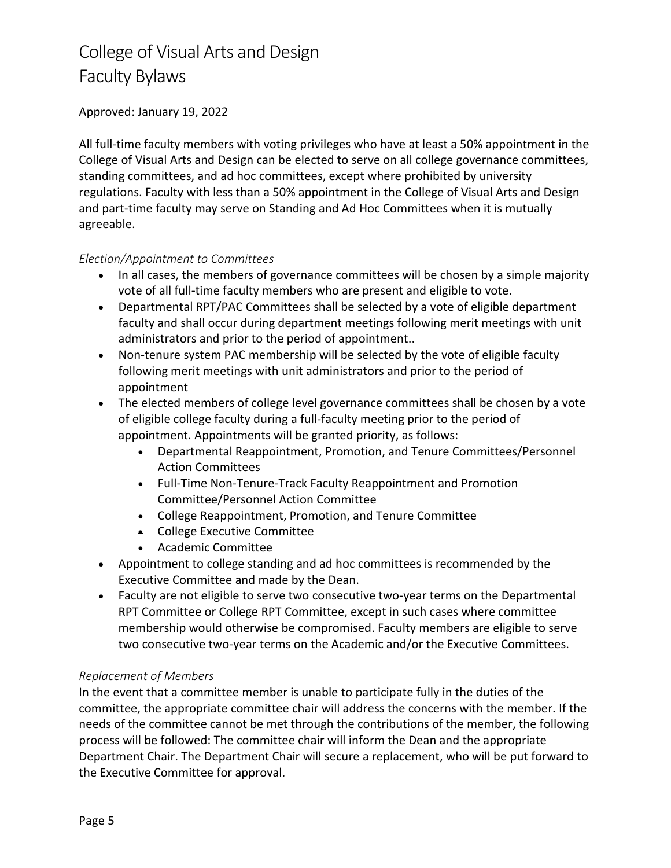### Approved: January 19, 2022

All full-time faculty members with voting privileges who have at least a 50% appointment in the College of Visual Arts and Design can be elected to serve on all college governance committees, standing committees, and ad hoc committees, except where prohibited by university regulations. Faculty with less than a 50% appointment in the College of Visual Arts and Design and part-time faculty may serve on Standing and Ad Hoc Committees when it is mutually agreeable.

### *Election/Appointment to Committees*

- In all cases, the members of governance committees will be chosen by a simple majority vote of all full-time faculty members who are present and eligible to vote.
- Departmental RPT/PAC Committees shall be selected by a vote of eligible department faculty and shall occur during department meetings following merit meetings with unit administrators and prior to the period of appointment..
- Non-tenure system PAC membership will be selected by the vote of eligible faculty following merit meetings with unit administrators and prior to the period of appointment
- The elected members of college level governance committees shall be chosen by a vote of eligible college faculty during a full-faculty meeting prior to the period of appointment. Appointments will be granted priority, as follows:
	- Departmental Reappointment, Promotion, and Tenure Committees/Personnel Action Committees
	- Full-Time Non-Tenure-Track Faculty Reappointment and Promotion Committee/Personnel Action Committee
	- College Reappointment, Promotion, and Tenure Committee
	- College Executive Committee
	- Academic Committee
- Appointment to college standing and ad hoc committees is recommended by the Executive Committee and made by the Dean.
- Faculty are not eligible to serve two consecutive two-year terms on the Departmental RPT Committee or College RPT Committee, except in such cases where committee membership would otherwise be compromised. Faculty members are eligible to serve two consecutive two-year terms on the Academic and/or the Executive Committees.

### *Replacement of Members*

In the event that a committee member is unable to participate fully in the duties of the committee, the appropriate committee chair will address the concerns with the member. If the needs of the committee cannot be met through the contributions of the member, the following process will be followed: The committee chair will inform the Dean and the appropriate Department Chair. The Department Chair will secure a replacement, who will be put forward to the Executive Committee for approval.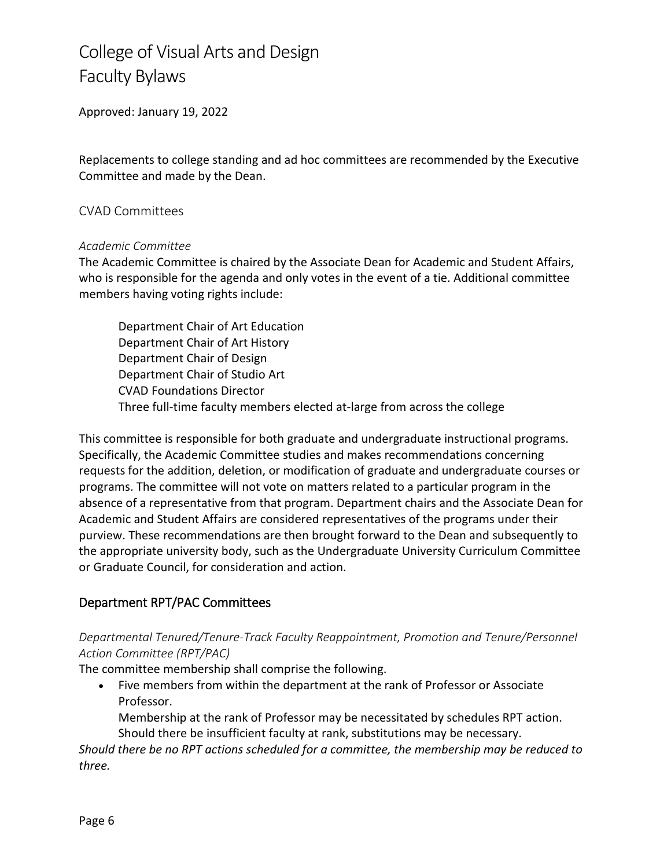Approved: January 19, 2022

Replacements to college standing and ad hoc committees are recommended by the Executive Committee and made by the Dean.

#### CVAD Committees

#### *Academic Committee*

The Academic Committee is chaired by the Associate Dean for Academic and Student Affairs, who is responsible for the agenda and only votes in the event of a tie. Additional committee members having voting rights include:

Department Chair of Art Education Department Chair of Art History Department Chair of Design Department Chair of Studio Art CVAD Foundations Director Three full-time faculty members elected at-large from across the college

This committee is responsible for both graduate and undergraduate instructional programs. Specifically, the Academic Committee studies and makes recommendations concerning requests for the addition, deletion, or modification of graduate and undergraduate courses or programs. The committee will not vote on matters related to a particular program in the absence of a representative from that program. Department chairs and the Associate Dean for Academic and Student Affairs are considered representatives of the programs under their purview. These recommendations are then brought forward to the Dean and subsequently to the appropriate university body, such as the Undergraduate University Curriculum Committee or Graduate Council, for consideration and action.

### Department RPT/PAC Committees

## *Departmental Tenured/Tenure-Track Faculty Reappointment, Promotion and Tenure/Personnel Action Committee (RPT/PAC)*

The committee membership shall comprise the following.

• Five members from within the department at the rank of Professor or Associate Professor.

Membership at the rank of Professor may be necessitated by schedules RPT action. Should there be insufficient faculty at rank, substitutions may be necessary.

*Should there be no RPT actions scheduled for a committee, the membership may be reduced to three.*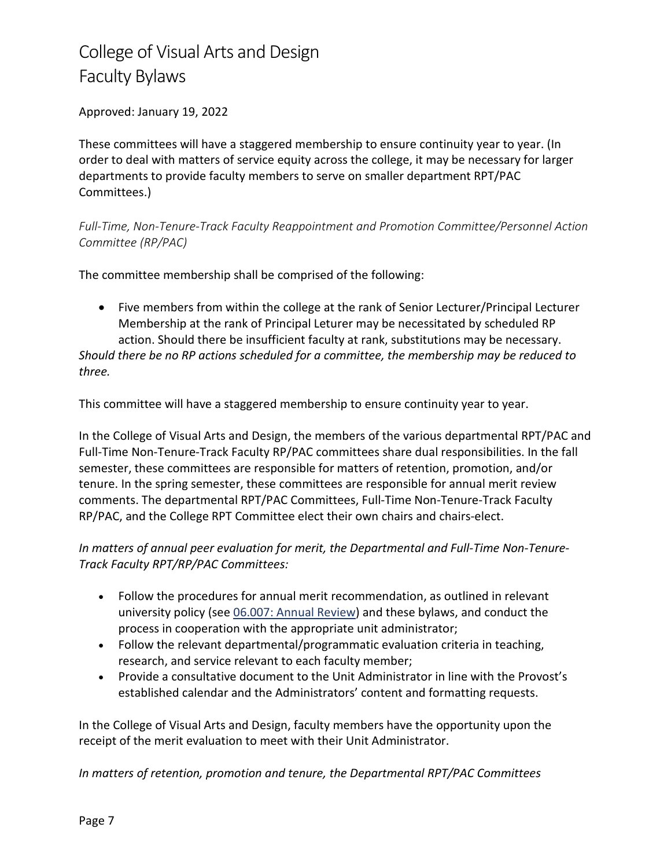Approved: January 19, 2022

These committees will have a staggered membership to ensure continuity year to year. (In order to deal with matters of service equity across the college, it may be necessary for larger departments to provide faculty members to serve on smaller department RPT/PAC Committees.)

*Full-Time, Non-Tenure-Track Faculty Reappointment and Promotion Committee/Personnel Action Committee (RP/PAC)*

The committee membership shall be comprised of the following:

• Five members from within the college at the rank of Senior Lecturer/Principal Lecturer Membership at the rank of Principal Leturer may be necessitated by scheduled RP action. Should there be insufficient faculty at rank, substitutions may be necessary.

*Should there be no RP actions scheduled for a committee, the membership may be reduced to three.*

This committee will have a staggered membership to ensure continuity year to year.

In the College of Visual Arts and Design, the members of the various departmental RPT/PAC and Full-Time Non-Tenure-Track Faculty RP/PAC committees share dual responsibilities. In the fall semester, these committees are responsible for matters of retention, promotion, and/or tenure. In the spring semester, these committees are responsible for annual merit review comments. The departmental RPT/PAC Committees, Full-Time Non-Tenure-Track Faculty RP/PAC, and the College RPT Committee elect their own chairs and chairs-elect.

*In matters of annual peer evaluation for merit, the Departmental and Full-Time Non-Tenure-Track Faculty RPT/RP/PAC Committees:*

- Follow the procedures for annual merit recommendation, as outlined in relevant university policy (see [06.007: Annual Review\)](https://policy.unt.edu/sites/default/files/06.007_Published2020.pdf) and these bylaws, and conduct the process in cooperation with the appropriate unit administrator;
- Follow the relevant departmental/programmatic evaluation criteria in teaching, research, and service relevant to each faculty member;
- Provide a consultative document to the Unit Administrator in line with the Provost's established calendar and the Administrators' content and formatting requests.

In the College of Visual Arts and Design, faculty members have the opportunity upon the receipt of the merit evaluation to meet with their Unit Administrator.

*In matters of retention, promotion and tenure, the Departmental RPT/PAC Committees*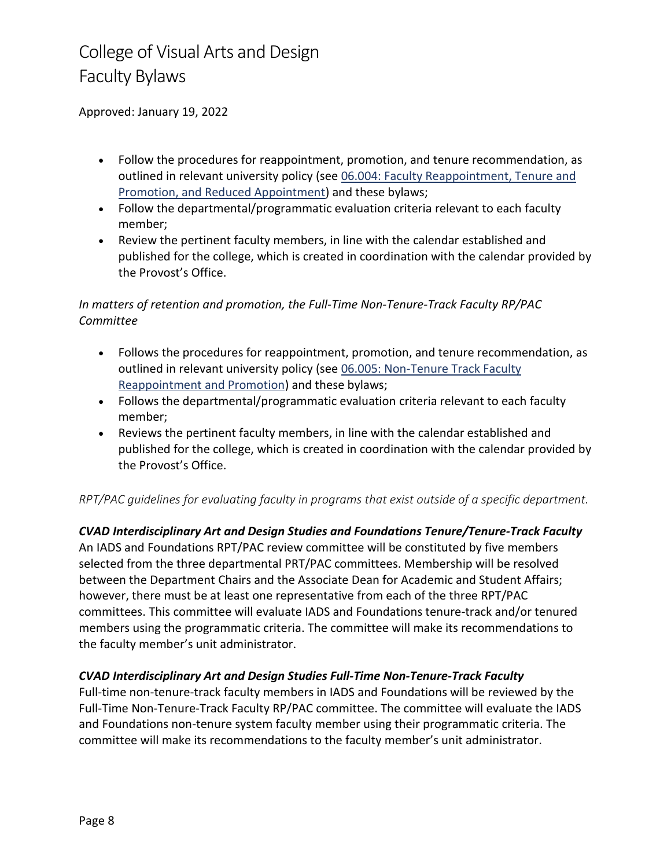Approved: January 19, 2022

- Follow the procedures for reappointment, promotion, and tenure recommendation, as outlined in relevant university policy (see [06.004: Faculty Reappointment, Tenure and](https://policy.unt.edu/sites/default/files/06.004Pub_0.pdf)  [Promotion, and Reduced Appointment\)](https://policy.unt.edu/sites/default/files/06.004Pub_0.pdf) and these bylaws;
- Follow the departmental/programmatic evaluation criteria relevant to each faculty member;
- Review the pertinent faculty members, in line with the calendar established and published for the college, which is created in coordination with the calendar provided by the Provost's Office.

### *In matters of retention and promotion, the Full-Time Non-Tenure-Track Faculty RP/PAC Committee*

- Follows the procedures for reappointment, promotion, and tenure recommendation, as outlined in relevant university policy (see [06.005: Non-Tenure Track Faculty](https://policy.unt.edu/sites/default/files/06.005_NonTenureTrackFacReappt.Pub__0.pdf)  [Reappointment and Promotion\)](https://policy.unt.edu/sites/default/files/06.005_NonTenureTrackFacReappt.Pub__0.pdf) and these bylaws;
- Follows the departmental/programmatic evaluation criteria relevant to each faculty member;
- Reviews the pertinent faculty members, in line with the calendar established and published for the college, which is created in coordination with the calendar provided by the Provost's Office.

### *RPT/PAC guidelines for evaluating faculty in programs that exist outside of a specific department.*

### *CVAD Interdisciplinary Art and Design Studies and Foundations Tenure/Tenure-Track Faculty*

An IADS and Foundations RPT/PAC review committee will be constituted by five members selected from the three departmental PRT/PAC committees. Membership will be resolved between the Department Chairs and the Associate Dean for Academic and Student Affairs; however, there must be at least one representative from each of the three RPT/PAC committees. This committee will evaluate IADS and Foundations tenure-track and/or tenured members using the programmatic criteria. The committee will make its recommendations to the faculty member's unit administrator.

### *CVAD Interdisciplinary Art and Design Studies Full-Time Non-Tenure-Track Faculty*

Full-time non-tenure-track faculty members in IADS and Foundations will be reviewed by the Full-Time Non-Tenure-Track Faculty RP/PAC committee. The committee will evaluate the IADS and Foundations non-tenure system faculty member using their programmatic criteria. The committee will make its recommendations to the faculty member's unit administrator.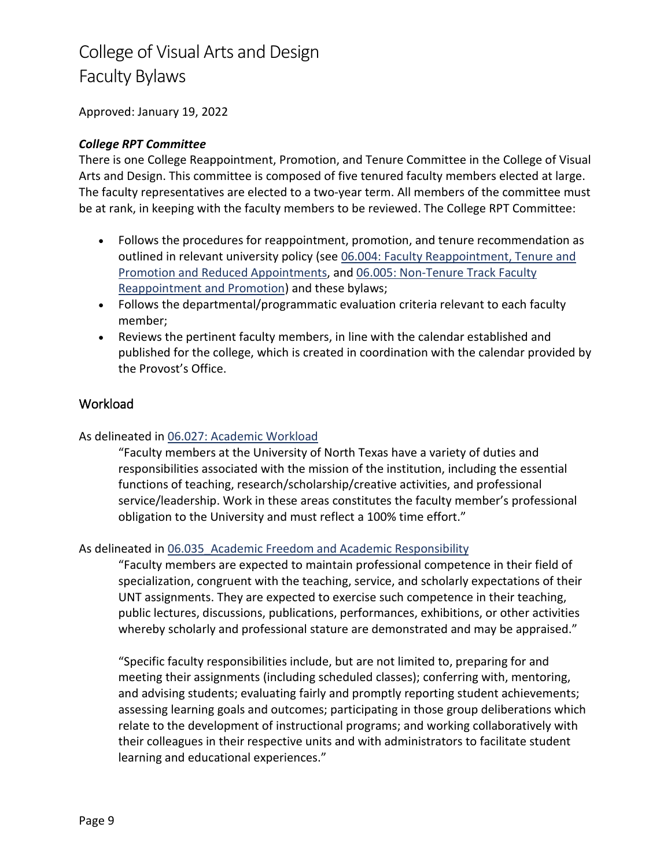Approved: January 19, 2022

#### *College RPT Committee*

There is one College Reappointment, Promotion, and Tenure Committee in the College of Visual Arts and Design. This committee is composed of five tenured faculty members elected at large. The faculty representatives are elected to a two-year term. All members of the committee must be at rank, in keeping with the faculty members to be reviewed. The College RPT Committee:

- Follows the procedures for reappointment, promotion, and tenure recommendation as outlined in relevant university policy (see [06.004: Faculty Reappointment, Tenure and](https://policy.unt.edu/sites/default/files/06.004Pub_0.pdf)  Promotion [and Reduced Appointments,](https://policy.unt.edu/sites/default/files/06.004Pub_0.pdf) and [06.005: Non-Tenure Track Faculty](https://policy.unt.edu/sites/default/files/06.005_NonTenureTrackFacReappt.Pub__0.pdf)  [Reappointment and Promotion\)](https://policy.unt.edu/sites/default/files/06.005_NonTenureTrackFacReappt.Pub__0.pdf) and these bylaws;
- Follows the departmental/programmatic evaluation criteria relevant to each faculty member;
- Reviews the pertinent faculty members, in line with the calendar established and published for the college, which is created in coordination with the calendar provided by the Provost's Office.

### **Workload**

#### As delineated in [06.027: Academic Workload](https://policy.unt.edu/policy/06-027)

"Faculty members at the University of North Texas have a variety of duties and responsibilities associated with the mission of the institution, including the essential functions of teaching, research/scholarship/creative activities, and professional service/leadership. Work in these areas constitutes the faculty member's professional obligation to the University and must reflect a 100% time effort."

#### As delineated in 06.035 Academic Freedom and Academic Responsibility

"Faculty members are expected to maintain professional competence in their field of specialization, congruent with the teaching, service, and scholarly expectations of their UNT assignments. They are expected to exercise such competence in their teaching, public lectures, discussions, publications, performances, exhibitions, or other activities whereby scholarly and professional stature are demonstrated and may be appraised."

"Specific faculty responsibilities include, but are not limited to, preparing for and meeting their assignments (including scheduled classes); conferring with, mentoring, and advising students; evaluating fairly and promptly reporting student achievements; assessing learning goals and outcomes; participating in those group deliberations which relate to the development of instructional programs; and working collaboratively with their colleagues in their respective units and with administrators to facilitate student learning and educational experiences."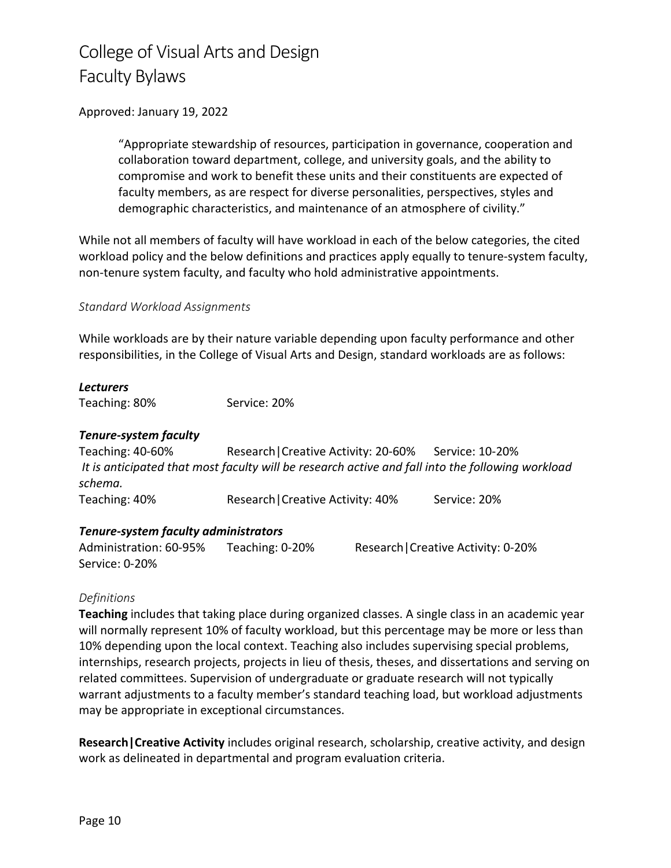#### Approved: January 19, 2022

"Appropriate stewardship of resources, participation in governance, cooperation and collaboration toward department, college, and university goals, and the ability to compromise and work to benefit these units and their constituents are expected of faculty members, as are respect for diverse personalities, perspectives, styles and demographic characteristics, and maintenance of an atmosphere of civility."

While not all members of faculty will have workload in each of the below categories, the cited workload policy and the below definitions and practices apply equally to tenure-system faculty, non-tenure system faculty, and faculty who hold administrative appointments.

#### *Standard Workload Assignments*

While workloads are by their nature variable depending upon faculty performance and other responsibilities, in the College of Visual Arts and Design, standard workloads are as follows:

#### *Lecturers*

Teaching: 80% Service: 20%

#### *Tenure-system faculty*

Teaching: 40-60% Research|Creative Activity: 20-60% Service: 10-20% *It is anticipated that most faculty will be research active and fall into the following workload schema.* Teaching: 40% Research | Creative Activity: 40% Service: 20%

#### *Tenure-system faculty administrators*

Administration: 60-95% Teaching: 0-20% Research | Creative Activity: 0-20% Service: 0-20%

#### *Definitions*

**Teaching** includes that taking place during organized classes. A single class in an academic year will normally represent 10% of faculty workload, but this percentage may be more or less than 10% depending upon the local context. Teaching also includes supervising special problems, internships, research projects, projects in lieu of thesis, theses, and dissertations and serving on related committees. Supervision of undergraduate or graduate research will not typically warrant adjustments to a faculty member's standard teaching load, but workload adjustments may be appropriate in exceptional circumstances.

**Research|Creative Activity** includes original research, scholarship, creative activity, and design work as delineated in departmental and program evaluation criteria.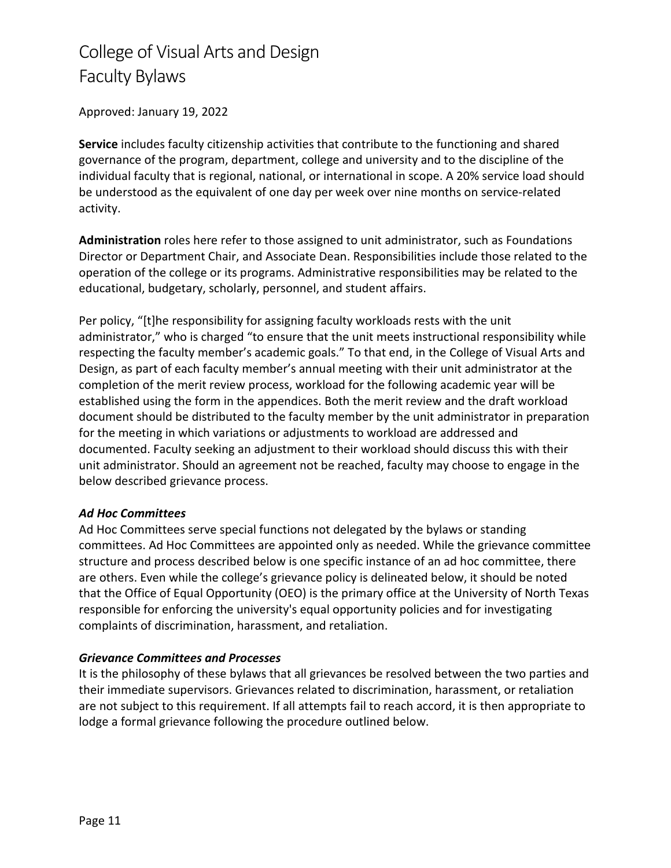### Approved: January 19, 2022

**Service** includes faculty citizenship activities that contribute to the functioning and shared governance of the program, department, college and university and to the discipline of the individual faculty that is regional, national, or international in scope. A 20% service load should be understood as the equivalent of one day per week over nine months on service-related activity.

**Administration** roles here refer to those assigned to unit administrator, such as Foundations Director or Department Chair, and Associate Dean. Responsibilities include those related to the operation of the college or its programs. Administrative responsibilities may be related to the educational, budgetary, scholarly, personnel, and student affairs.

Per policy, "[t]he responsibility for assigning faculty workloads rests with the unit administrator," who is charged "to ensure that the unit meets instructional responsibility while respecting the faculty member's academic goals." To that end, in the College of Visual Arts and Design, as part of each faculty member's annual meeting with their unit administrator at the completion of the merit review process, workload for the following academic year will be established using the form in the appendices. Both the merit review and the draft workload document should be distributed to the faculty member by the unit administrator in preparation for the meeting in which variations or adjustments to workload are addressed and documented. Faculty seeking an adjustment to their workload should discuss this with their unit administrator. Should an agreement not be reached, faculty may choose to engage in the below described grievance process.

#### *Ad Hoc Committees*

Ad Hoc Committees serve special functions not delegated by the bylaws or standing committees. Ad Hoc Committees are appointed only as needed. While the grievance committee structure and process described below is one specific instance of an ad hoc committee, there are others. Even while the college's grievance policy is delineated below, it should be noted that the Office of Equal Opportunity (OEO) is the primary office at the University of North Texas responsible for enforcing the university's equal opportunity policies and for investigating complaints of discrimination, harassment, and retaliation.

#### *Grievance Committees and Processes*

It is the philosophy of these bylaws that all grievances be resolved between the two parties and their immediate supervisors. Grievances related to discrimination, harassment, or retaliation are not subject to this requirement. If all attempts fail to reach accord, it is then appropriate to lodge a formal grievance following the procedure outlined below.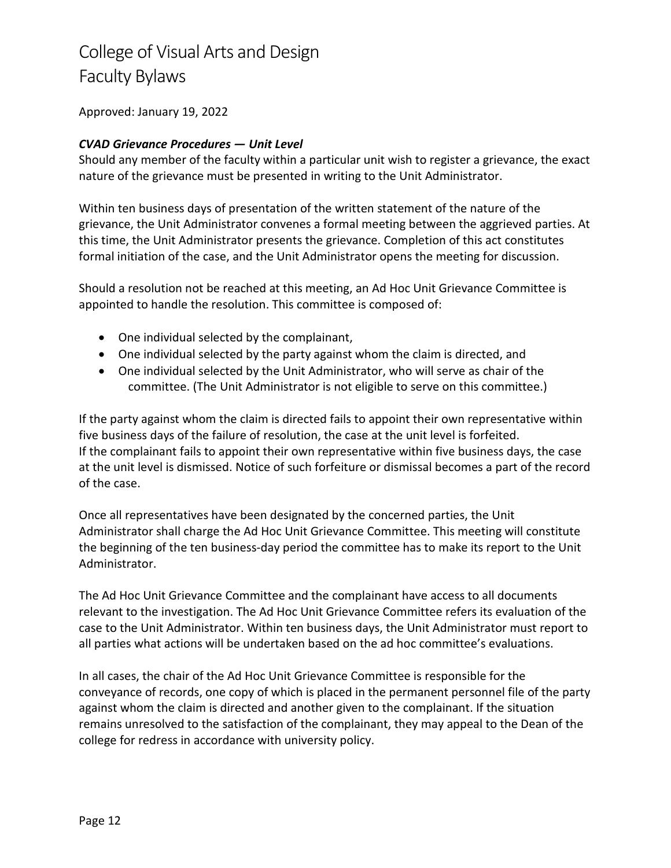### Approved: January 19, 2022

### *CVAD Grievance Procedures — Unit Level*

Should any member of the faculty within a particular unit wish to register a grievance, the exact nature of the grievance must be presented in writing to the Unit Administrator.

Within ten business days of presentation of the written statement of the nature of the grievance, the Unit Administrator convenes a formal meeting between the aggrieved parties. At this time, the Unit Administrator presents the grievance. Completion of this act constitutes formal initiation of the case, and the Unit Administrator opens the meeting for discussion.

Should a resolution not be reached at this meeting, an Ad Hoc Unit Grievance Committee is appointed to handle the resolution. This committee is composed of:

- One individual selected by the complainant,
- One individual selected by the party against whom the claim is directed, and
- One individual selected by the Unit Administrator, who will serve as chair of the committee. (The Unit Administrator is not eligible to serve on this committee.)

If the party against whom the claim is directed fails to appoint their own representative within five business days of the failure of resolution, the case at the unit level is forfeited. If the complainant fails to appoint their own representative within five business days, the case at the unit level is dismissed. Notice of such forfeiture or dismissal becomes a part of the record of the case.

Once all representatives have been designated by the concerned parties, the Unit Administrator shall charge the Ad Hoc Unit Grievance Committee. This meeting will constitute the beginning of the ten business-day period the committee has to make its report to the Unit Administrator.

The Ad Hoc Unit Grievance Committee and the complainant have access to all documents relevant to the investigation. The Ad Hoc Unit Grievance Committee refers its evaluation of the case to the Unit Administrator. Within ten business days, the Unit Administrator must report to all parties what actions will be undertaken based on the ad hoc committee's evaluations.

In all cases, the chair of the Ad Hoc Unit Grievance Committee is responsible for the conveyance of records, one copy of which is placed in the permanent personnel file of the party against whom the claim is directed and another given to the complainant. If the situation remains unresolved to the satisfaction of the complainant, they may appeal to the Dean of the college for redress in accordance with university policy.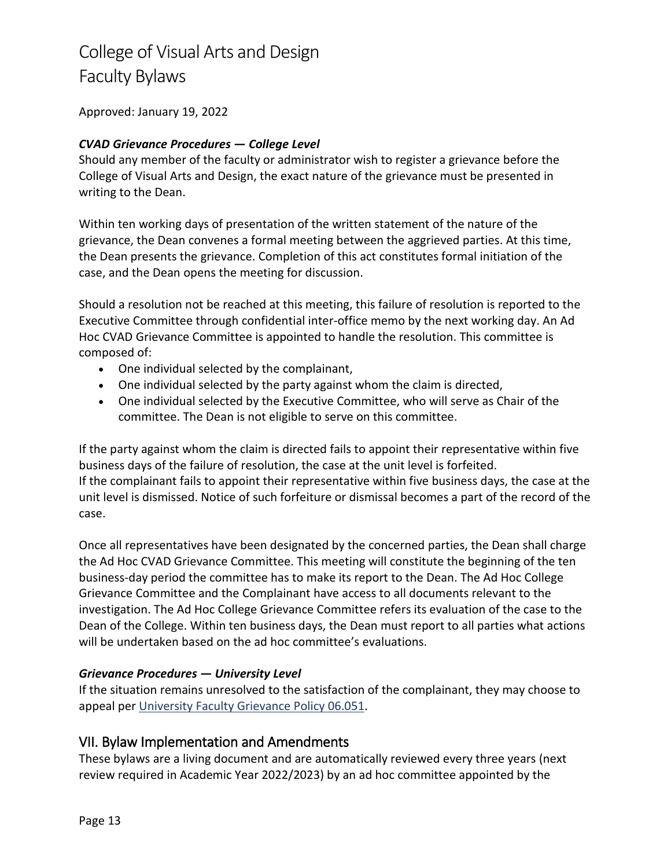Approved: January 19, 2022

### *CVAD Grievance Procedures — College Level*

Should any member of the faculty or administrator wish to register a grievance before the College of Visual Arts and Design, the exact nature of the grievance must be presented in writing to the Dean.

Within ten working days of presentation of the written statement of the nature of the grievance, the Dean convenes a formal meeting between the aggrieved parties. At this time, the Dean presents the grievance. Completion of this act constitutes formal initiation of the case, and the Dean opens the meeting for discussion.

Should a resolution not be reached at this meeting, this failure of resolution is reported to the Executive Committee through confidential inter-office memo by the next working day. An Ad Hoc CVAD Grievance Committee is appointed to handle the resolution. This committee is composed of:

- One individual selected by the complainant,
- One individual selected by the party against whom the claim is directed,
- One individual selected by the Executive Committee, who will serve as Chair of the committee. The Dean is not eligible to serve on this committee.

If the party against whom the claim is directed fails to appoint their representative within five business days of the failure of resolution, the case at the unit level is forfeited. If the complainant fails to appoint their representative within five business days, the case at the unit level is dismissed. Notice of such forfeiture or dismissal becomes a part of the record of the case.

Once all representatives have been designated by the concerned parties, the Dean shall charge the Ad Hoc CVAD Grievance Committee. This meeting will constitute the beginning of the ten business-day period the committee has to make its report to the Dean. The Ad Hoc College Grievance Committee and the Complainant have access to all documents relevant to the investigation. The Ad Hoc College Grievance Committee refers its evaluation of the case to the Dean of the College. Within ten business days, the Dean must report to all parties what actions will be undertaken based on the ad hoc committee's evaluations.

### *Grievance Procedures — University Level*

If the situation remains unresolved to the satisfaction of the complainant, they may choose to appeal pe[r University Faculty Grievance Policy 06.051.](https://policy.unt.edu/sites/default/files/06.051_FacultyGrievance.pdf)

## VII. Bylaw Implementation and Amendments

These bylaws are a living document and are automatically reviewed every three years (next review required in Academic Year 2022/2023) by an ad hoc committee appointed by the